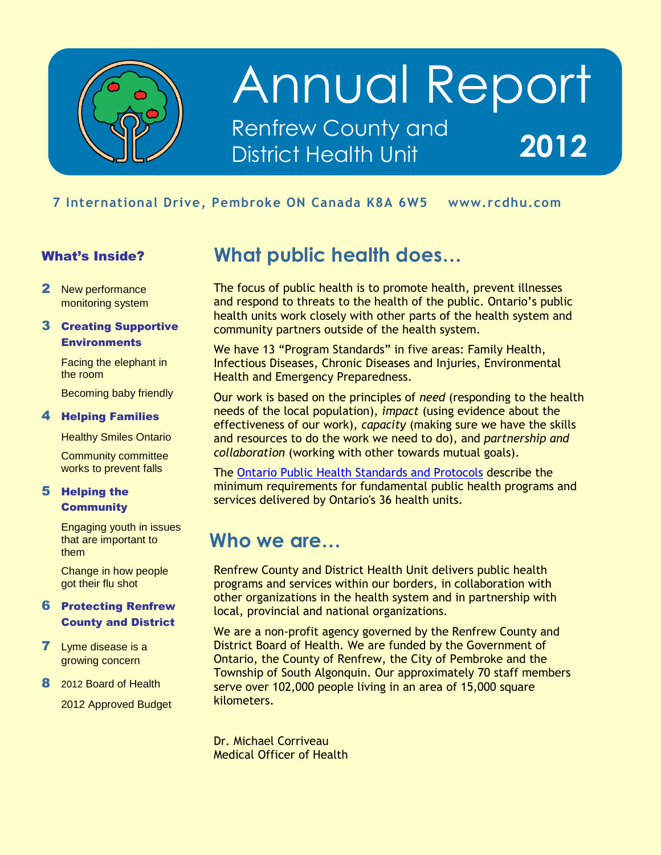

## Annual Report Renfrew County and District Health Unit **2012**

## mbroke <mark>ON</mark> Ca **7 International Drive, Pembroke ON Canada K8A 6W5 www.rcdhu.com**

### What's Inside?

2 New performance monitoring system

### 3 Creating Supportive **Environments**

Facing the elephant in the room

Becoming baby friendly

### 4 Helping Families

Healthy Smiles Ontario

Community committee works to prevent falls

### 5 Helping the **Community**

Engaging youth in issues that are important to them

Change in how people got their flu shot

### 6 Protecting Renfrew County and District

- **7** Lyme disease is a growing concern
- 8 2012 Board of Health

2012 Approved Budget

## **What public health does…**

The focus of public health is to promote health, prevent illnesses and respond to threats to the health of the public. Ontario's public health units work closely with other parts of the health system and community partners outside of the health system.

We have 13 "Program Standards" in five areas: Family Health, Infectious Diseases, Chronic Diseases and Injuries, Environmental Health and Emergency Preparedness.

Our work is based on the principles of *need* (responding to the health needs of the local population), *impact* (using evidence about the effectiveness of our work), *capacity* (making sure we have the skills and resources to do the work we need to do), and *partnership and collaboration* (working with other towards mutual goals).

The [Ontario Public Health Standards and Protocols](http://www.health.gov.on.ca/en/pro/programs/publichealth/oph_standards/) describe the minimum requirements for fundamental public health programs and services delivered by Ontario's 36 health units.

### **Who we are…**

Renfrew County and District Health Unit delivers public health programs and services within our borders, in collaboration with other organizations in the health system and in partnership with local, provincial and national organizations.

We are a non-profit agency governed by the Renfrew County and District Board of Health. We are funded by the Government of Ontario, the County of Renfrew, the City of Pembroke and the Township of South Algonquin. Our approximately 70 staff members serve over 102,000 people living in an area of 15,000 square kilometers.

Dr. Michael Corriveau Medical Officer of Health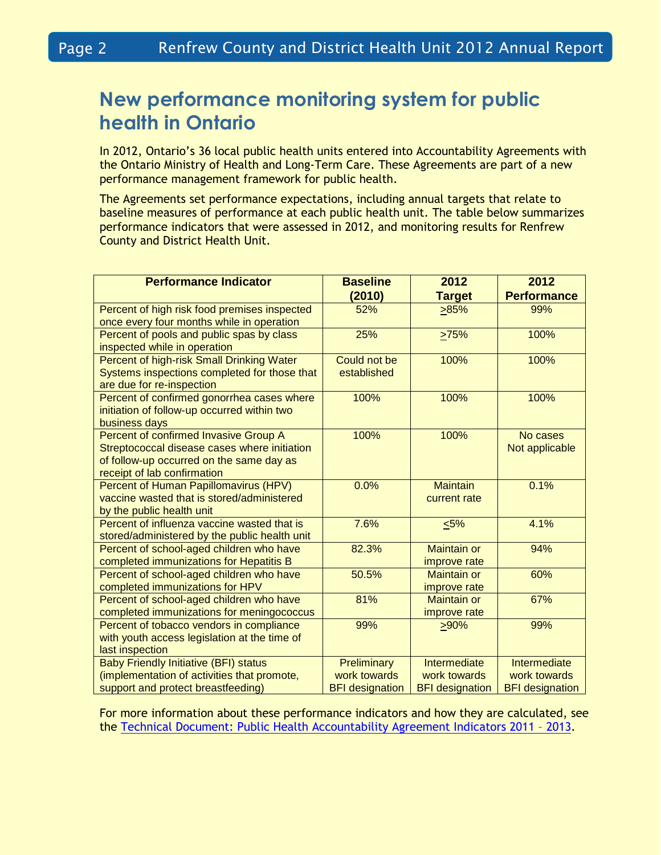## **New performance monitoring system for public health in Ontario**

In 2012, Ontario's 36 local public health units entered into Accountability Agreements with the Ontario Ministry of Health and Long-Term Care. These Agreements are part of a new performance management framework for public health.

The Agreements set performance expectations, including annual targets that relate to baseline measures of performance at each public health unit. The table below summarizes performance indicators that were assessed in 2012, and monitoring results for Renfrew County and District Health Unit.

| <b>Performance Indicator</b>                                                        | <b>Baseline</b>        | 2012                               | 2012                   |
|-------------------------------------------------------------------------------------|------------------------|------------------------------------|------------------------|
|                                                                                     | (2010)                 | <b>Target</b>                      | <b>Performance</b>     |
| Percent of high risk food premises inspected                                        | 52%                    | 285%                               | 99%                    |
| once every four months while in operation                                           |                        |                                    |                        |
| Percent of pools and public spas by class                                           | 25%                    | >75%                               | 100%                   |
| inspected while in operation                                                        |                        |                                    |                        |
| Percent of high-risk Small Drinking Water                                           | Could not be           | 100%                               | 100%                   |
| Systems inspections completed for those that                                        | established            |                                    |                        |
| are due for re-inspection                                                           |                        |                                    |                        |
| Percent of confirmed gonorrhea cases where                                          | 100%                   | 100%                               | 100%                   |
| initiation of follow-up occurred within two                                         |                        |                                    |                        |
| business days                                                                       |                        |                                    |                        |
| Percent of confirmed Invasive Group A                                               | 100%                   | 100%                               | No cases               |
| Streptococcal disease cases where initiation                                        |                        |                                    | Not applicable         |
| of follow-up occurred on the same day as                                            |                        |                                    |                        |
| receipt of lab confirmation                                                         |                        |                                    |                        |
| Percent of Human Papillomavirus (HPV)                                               | 0.0%                   | <b>Maintain</b>                    | 0.1%                   |
| vaccine wasted that is stored/administered                                          |                        | current rate                       |                        |
| by the public health unit                                                           |                        |                                    |                        |
| Percent of influenza vaccine wasted that is                                         | 7.6%                   | $5\%$                              | 4.1%                   |
| stored/administered by the public health unit                                       | 82.3%                  | <b>Maintain or</b>                 | 94%                    |
| Percent of school-aged children who have                                            |                        |                                    |                        |
| completed immunizations for Hepatitis B<br>Percent of school-aged children who have | 50.5%                  | improve rate<br><b>Maintain or</b> | 60%                    |
| completed immunizations for HPV                                                     |                        | improve rate                       |                        |
| Percent of school-aged children who have                                            | 81%                    | <b>Maintain or</b>                 | 67%                    |
| completed immunizations for meningococcus                                           |                        | improve rate                       |                        |
| Percent of tobacco vendors in compliance                                            | 99%                    | >90%                               | 99%                    |
| with youth access legislation at the time of                                        |                        |                                    |                        |
| last inspection                                                                     |                        |                                    |                        |
| <b>Baby Friendly Initiative (BFI) status</b>                                        | Preliminary            | Intermediate                       | Intermediate           |
| (implementation of activities that promote,                                         | work towards           | work towards                       | work towards           |
| support and protect breastfeeding)                                                  | <b>BFI</b> designation | <b>BFI</b> designation             | <b>BFI</b> designation |

For more information about these performance indicators and how they are calculated, see the [Technical Document: Public Health Accountability Agreement Indicators 2011](http://www.health.gov.on.ca/en/pro/programs/publichealth/performance/docs/technical_document.pdf) – 2013.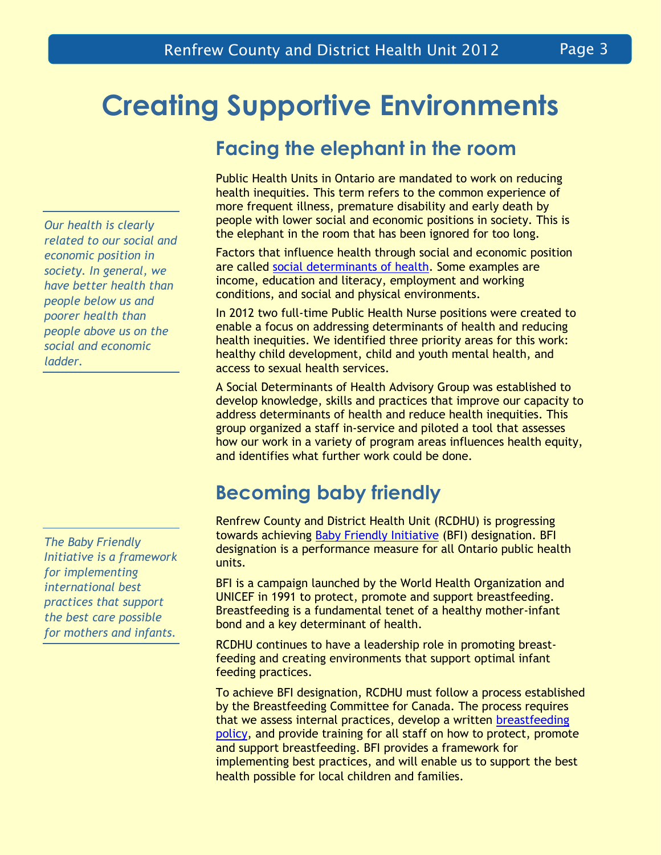# **Creating Supportive Environments**

## **Facing the elephant in the room**

Public Health Units in Ontario are mandated to work on reducing health inequities. This term refers to the common experience of more frequent illness, premature disability and early death by people with lower social and economic positions in society. This is the elephant in the room that has been ignored for too long.

Factors that influence health through social and economic position are called [social determinants of health.](http://www.phac-aspc.gc.ca/ph-sp/determinants/) Some examples are income, education and literacy, employment and working conditions, and social and physical environments.

In 2012 two full-time Public Health Nurse positions were created to enable a focus on addressing determinants of health and reducing health inequities. We identified three priority areas for this work: healthy child development, child and youth mental health, and access to sexual health services.

A Social Determinants of Health Advisory Group was established to develop knowledge, skills and practices that improve our capacity to address determinants of health and reduce health inequities. This group organized a staff in-service and piloted a tool that assesses how our work in a variety of program areas influences health equity, and identifies what further work could be done.

## **Becoming baby friendly**

Renfrew County and District Health Unit (RCDHU) is progressing towards achieving [Baby Friendly Initiative](http://breastfeedingcanada.ca/BFI.aspx) (BFI) designation. BFI designation is a performance measure for all Ontario public health units.

BFI is a campaign launched by the World Health Organization and UNICEF in 1991 to protect, promote and support breastfeeding. Breastfeeding is a fundamental tenet of a healthy mother-infant bond and a key determinant of health.

RCDHU continues to have a leadership role in promoting breastfeeding and creating environments that support optimal infant feeding practices.

To achieve BFI designation, RCDHU must follow a process established by the Breastfeeding Committee for Canada. The process requires that we assess internal practices, develop a written [breastfeeding](http://www.rcdhu.com/Publications/Policy-breastfeeding.pdf)  [policy,](http://www.rcdhu.com/Publications/Policy-breastfeeding.pdf) and provide training for all staff on how to protect, promote and support breastfeeding. BFI provides a framework for implementing best practices, and will enable us to support the best health possible for local children and families.

*Our health is clearly related to our social and economic position in society. In general, we have better health than people below us and poorer health than people above us on the social and economic ladder.*

*The Baby Friendly Initiative is a framework for implementing international best practices that support the best care possible for mothers and infants.*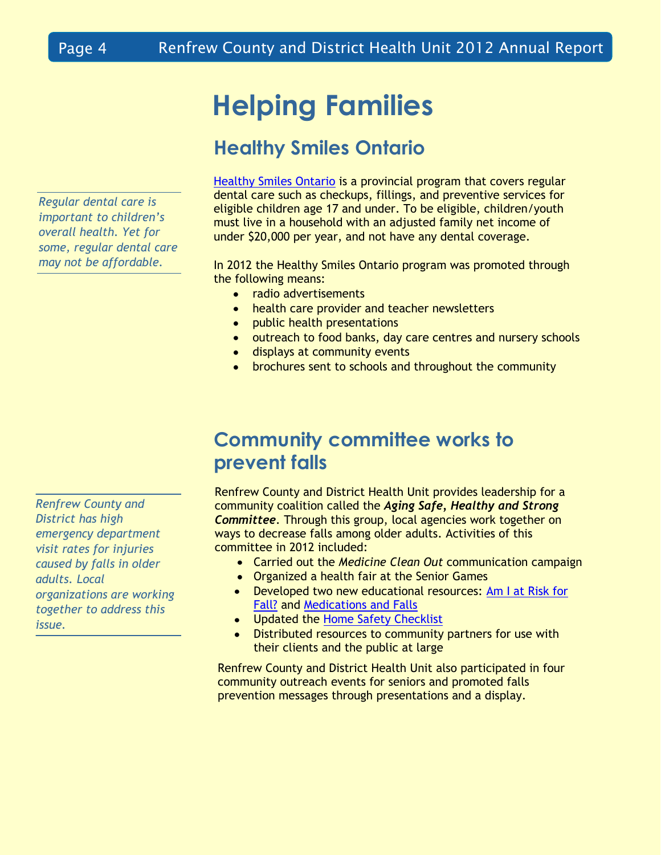# **Helping Families**

## **Healthy Smiles Ontario**

*Regular dental care is important to children's overall health. Yet for some, regular dental care may not be affordable.*

[Healthy Smiles Ontario](http://www.health.gov.on.ca/en/public/programs/dental/) is a provincial program that covers regular dental care such as checkups, fillings, and preventive services for eligible children age 17 and under. To be eligible, children/youth must live in a household with an adjusted family net income of under \$20,000 per year, and not have any dental coverage.

In 2012 the Healthy Smiles Ontario program was promoted through the following means:

- $\bullet$ radio advertisements
- health care provider and teacher newsletters
- public health presentations
- outreach to food banks, day care centres and nursery schools
- **·** displays at community events
- brochures sent to schools and throughout the community

## **Community committee works to prevent falls**

Renfrew County and District Health Unit provides leadership for a community coalition called the *Aging Safe, Healthy and Strong Committee*. Through this group, local agencies work together on ways to decrease falls among older adults. Activities of this committee in 2012 included:

- Carried out the *Medicine Clean Out* communication campaign
- Organized a health fair at the Senior Games
- Developed two new educational resources: Am [I at Risk for](http://www.rcdhu.com/HealthInformation/safety_am-I-at-risk-for-a-fall.pdf)  [Fall?](http://www.rcdhu.com/HealthInformation/safety_am-I-at-risk-for-a-fall.pdf) and [Medications and Falls](http://www.rcdhu.com/HealthInformation/safety_medications-and-falls.pdf)
- Updated the [Home Safety Checklist](http://www.rcdhu.com/HealthInformation/safety_home-checklist-seniors.pdf)
- Distributed resources to community partners for use with their clients and the public at large

Renfrew County and District Health Unit also participated in four community outreach events for seniors and promoted falls prevention messages through presentations and a display.

*Renfrew County and District has high emergency department visit rates for injuries caused by falls in older adults. Local organizations are working together to address this issue.*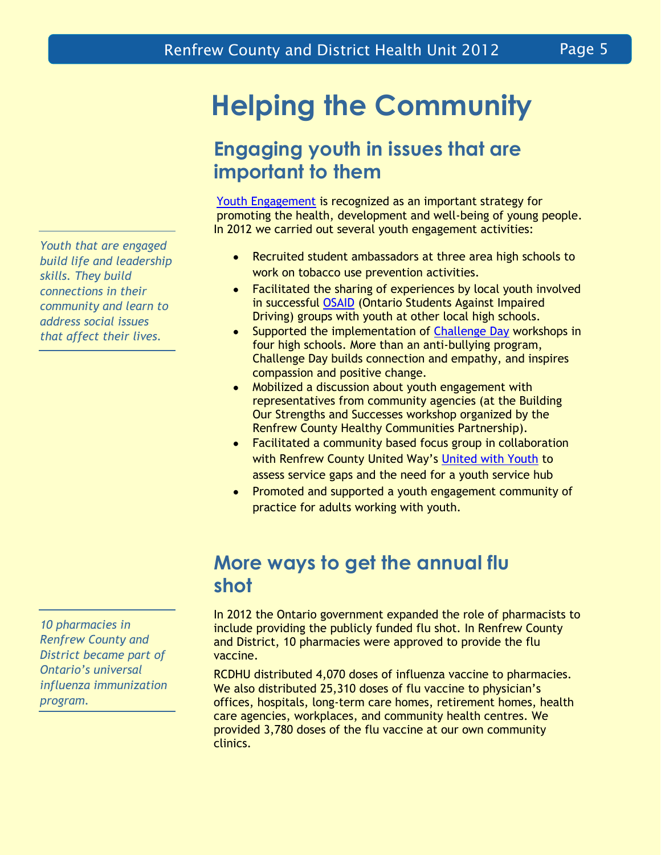**Helping the Community**

## **Engaging youth in issues that are important to them**

[Youth Engagement](http://www.rcdhu.com/Pages/ChronicDisease/youth-engagement.html) is recognized as an important strategy for promoting the health, development and well-being of young people. In 2012 we carried out several youth engagement activities:

- Recruited student ambassadors at three area high schools to  $\bullet$ work on tobacco use prevention activities.
- Facilitated the sharing of experiences by local youth involved  $\bullet$ in successful [OSAID](http://www.osaid.org/) (Ontario Students Against Impaired Driving) groups with youth at other local high schools.
- Supported the implementation of [Challenge Day](http://www.challengeday.org/) workshops in  $\bullet$ four high schools. More than an anti-bullying program, Challenge Day builds connection and empathy, and inspires compassion and positive change.
- Mobilized a discussion about youth engagement with  $\bullet$ representatives from community agencies (at the Building Our Strengths and Successes workshop organized by the Renfrew County Healthy Communities Partnership).
- Facilitated a community based focus group in collaboration  $\bullet$ with Renfrew County United Way's [United with Youth](http://www.renfrewcountyunitedway.ca/join-united-youth-create-positive-community-impacts) to assess service gaps and the need for a youth service hub
- Promoted and supported a youth engagement community of  $\bullet$ practice for adults working with youth.

## **More ways to get the annual flu shot**

In 2012 the Ontario government expanded the role of pharmacists to include providing the publicly funded flu shot. In Renfrew County and District, 10 pharmacies were approved to provide the flu vaccine.

RCDHU distributed 4,070 doses of influenza vaccine to pharmacies. We also distributed 25,310 doses of flu vaccine to physician's offices, hospitals, long-term care homes, retirement homes, health care agencies, workplaces, and community health centres. We provided 3,780 doses of the flu vaccine at our own community clinics.

*Youth that are engaged build life and leadership skills. They build connections in their community and learn to address social issues that affect their lives.*

*10 pharmacies in Renfrew County and District became part of Ontario's universal influenza immunization program.*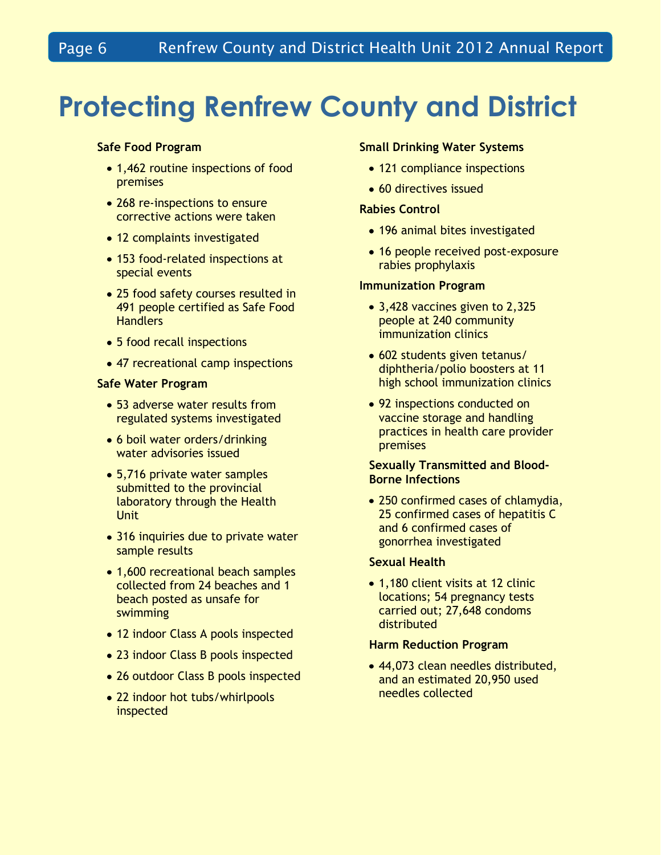## **Protecting Renfrew County and District**

### **Safe Food Program**

- 1,462 routine inspections of food premises
- 268 re-inspections to ensure corrective actions were taken
- 12 complaints investigated
- 153 food-related inspections at special events
- 25 food safety courses resulted in 491 people certified as Safe Food **Handlers**
- 5 food recall inspections
- 47 recreational camp inspections

### **Safe Water Program**

- 53 adverse water results from regulated systems investigated
- 6 boil water orders/drinking water advisories issued
- 5,716 private water samples submitted to the provincial laboratory through the Health **Unit**
- 316 inquiries due to private water sample results
- 1,600 recreational beach samples collected from 24 beaches and 1 beach posted as unsafe for swimming
- 12 indoor Class A pools inspected
- 23 indoor Class B pools inspected
- 26 outdoor Class B pools inspected
- 22 indoor hot tubs/whirlpools inspected

### **Small Drinking Water Systems**

- 121 compliance inspections
- 60 directives issued

### **Rabies Control**

- 196 animal bites investigated
- 16 people received post-exposure rabies prophylaxis

### **Immunization Program**

- 3,428 vaccines given to 2,325 people at 240 community immunization clinics
- 602 students given tetanus/ diphtheria/polio boosters at 11 high school immunization clinics
- 92 inspections conducted on vaccine storage and handling practices in health care provider premises

### **Sexually Transmitted and Blood-Borne Infections**

• 250 confirmed cases of chlamydia, 25 confirmed cases of hepatitis C and 6 confirmed cases of gonorrhea investigated

### **Sexual Health**

• 1,180 client visits at 12 clinic locations; 54 pregnancy tests carried out; 27,648 condoms distributed

### **Harm Reduction Program**

• 44,073 clean needles distributed, and an estimated 20,950 used needles collected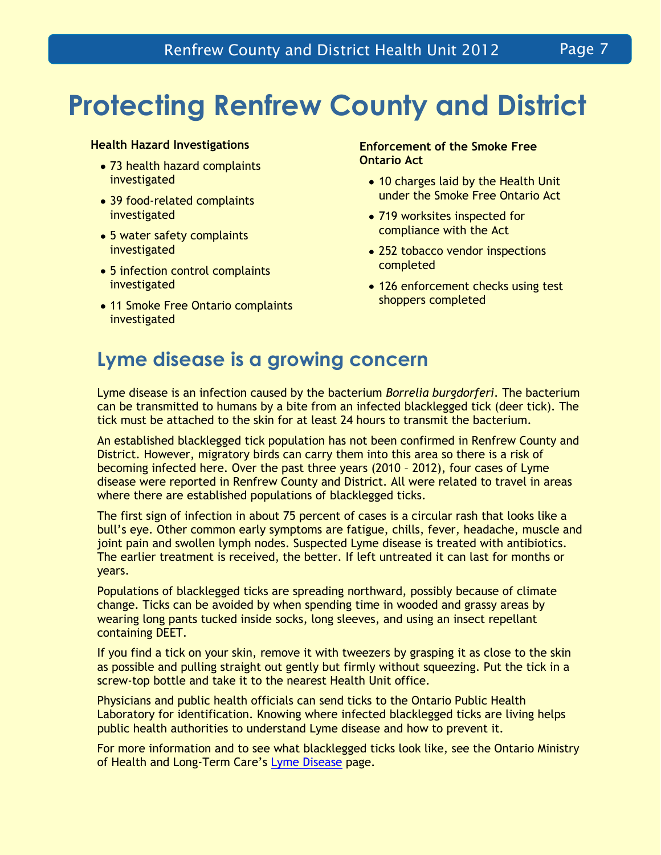# **Protecting Renfrew County and District**

### **Health Hazard Investigations**

- 73 health hazard complaints investigated
- 39 food-related complaints investigated
- 5 water safety complaints investigated
- 5 infection control complaints investigated
- 11 Smoke Free Ontario complaints investigated

### **Enforcement of the Smoke Free Ontario Act**

- 10 charges laid by the Health Unit under the Smoke Free Ontario Act
- 719 worksites inspected for compliance with the Act
- 252 tobacco vendor inspections completed
- 126 enforcement checks using test shoppers completed

## **Lyme disease is a growing concern**

Lyme disease is an infection caused by the bacterium *Borrelia burgdorferi*. The bacterium can be transmitted to humans by a bite from an infected blacklegged tick (deer tick). The tick must be attached to the skin for at least 24 hours to transmit the bacterium.

An established blacklegged tick population has not been confirmed in Renfrew County and District. However, migratory birds can carry them into this area so there is a risk of becoming infected here. Over the past three years (2010 – 2012), four cases of Lyme disease were reported in Renfrew County and District. All were related to travel in areas where there are established populations of blacklegged ticks.

The first sign of infection in about 75 percent of cases is a circular rash that looks like a bull's eye. Other common early symptoms are fatigue, chills, fever, headache, muscle and joint pain and swollen lymph nodes. Suspected Lyme disease is treated with antibiotics. The earlier treatment is received, the better. If left untreated it can last for months or years.

Populations of blacklegged ticks are spreading northward, possibly because of climate change. Ticks can be avoided by when spending time in wooded and grassy areas by wearing long pants tucked inside socks, long sleeves, and using an insect repellant containing DEET.

If you find a tick on your skin, remove it with tweezers by grasping it as close to the skin as possible and pulling straight out gently but firmly without squeezing. Put the tick in a screw-top bottle and take it to the nearest Health Unit office.

Physicians and public health officials can send ticks to the Ontario Public Health Laboratory for identification. Knowing where infected blacklegged ticks are living helps public health authorities to understand Lyme disease and how to prevent it.

For more information and to see what blacklegged ticks look like, see the Ontario Ministry of Health and Long-Term Care's [Lyme Disease](http://www.health.gov.on.ca/en/public/publications/disease/lyme.aspx) page.